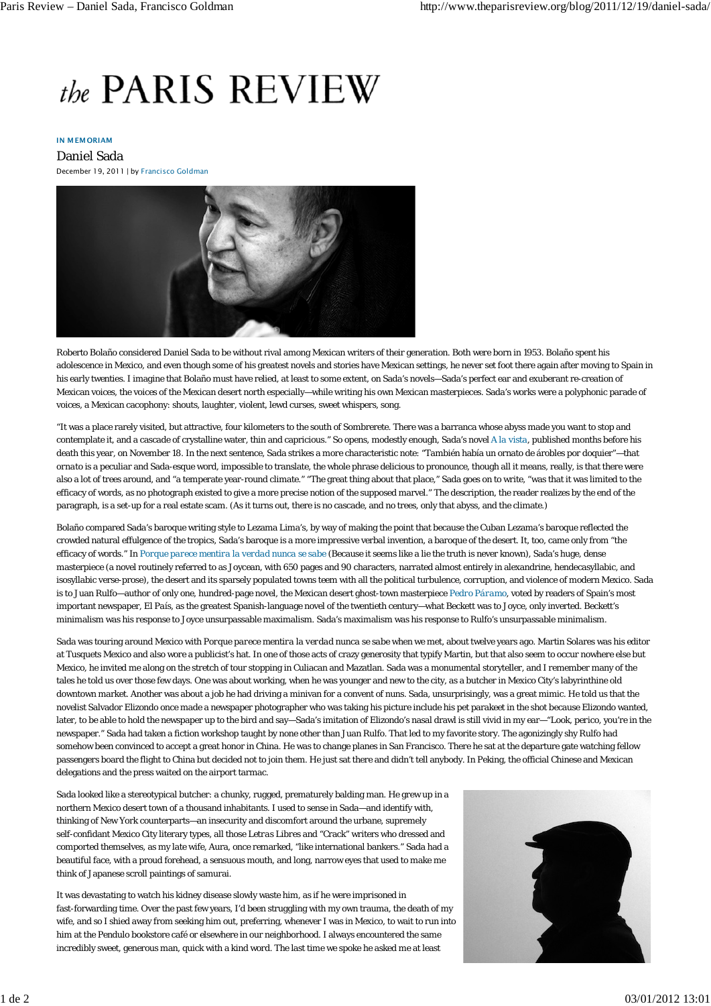# the PARIS REVIEW

## IN MEMORIAM

Daniel Sada December 19, 2011 | by Francisco Goldman



Roberto Bolaño considered Daniel Sada to be without rival among Mexican writers of their generation. Both were born in 1953. Bolaño spent his adolescence in Mexico, and even though some of his greatest novels and stories have Mexican settings, he never set foot there again after moving to Spain in his early twenties. I imagine that Bolaño must have relied, at least to some extent, on Sada's novels—Sada's perfect ear and exuberant re-creation of Mexican voices, the voices of the Mexican desert north especially—while writing his own Mexican masterpieces. Sada's works were a polyphonic parade of voices, a Mexican cacophony: shouts, laughter, violent, lewd curses, sweet whispers, song.

"It was a place rarely visited, but attractive, four kilometers to the south of Sombrerete. There was a barranca whose abyss made you want to stop and contemplate it, and a cascade of crystalline water, thin and capricious." So opens, modestly enough, Sada's novel *A la vista*, published months before his death this year, on November 18. In the next sentence, Sada strikes a more characteristic note: "También había un ornato de árobles por doquier"—that *ornato* is a peculiar and Sada-esque word, impossible to translate, the whole phrase delicious to pronounce, though all it means, really, is that there were also a lot of trees around, and "a temperate year-round climate." "The great thing about that place," Sada goes on to write, "was that it was limited to the efficacy of words, as no photograph existed to give a more precise notion of the supposed marvel." The description, the reader realizes by the end of the paragraph, is a set-up for a real estate scam. (As it turns out, there is no cascade, and no trees, only that abyss, and the climate.)

Bolaño compared Sada's baroque writing style to Lezama Lima's, by way of making the point that because the Cuban Lezama's baroque reflected the crowded natural effulgence of the tropics, Sada's baroque is a more impressive verbal invention, a baroque of the desert. It, too, came only from "the efficacy of words." In *Porque parece mentira la verdad nunca se sabe* (Because it seems like a lie the truth is never known), Sada's huge, dense masterpiece (a novel routinely referred to as Joycean, with 650 pages and 90 characters, narrated almost entirely in alexandrine, hendecasyllabic, and isosyllabic verse-prose), the desert and its sparsely populated towns teem with all the political turbulence, corruption, and violence of modern Mexico. Sada is to Juan Rulfo—author of only one, hundred-page novel, the Mexican desert ghost-town masterpiece *Pedro Páramo*, voted by readers of Spain's most important newspaper, *El País*, as the greatest Spanish-language novel of the twentieth century—what Beckett was to Joyce, only inverted. Beckett's minimalism was his response to Joyce unsurpassable maximalism. Sada's maximalism was his response to Rulfo's unsurpassable minimalism.

Sada was touring around Mexico with *Porque parece mentira la verdad nunca se sabe* when we met, about twelve years ago. Martin Solares was his editor at Tusquets Mexico and also wore a publicist's hat. In one of those acts of crazy generosity that typify Martin, but that also seem to occur nowhere else but Mexico, he invited me along on the stretch of tour stopping in Culiacan and Mazatlan. Sada was a monumental storyteller, and I remember many of the tales he told us over those few days. One was about working, when he was younger and new to the city, as a butcher in Mexico City's labyrinthine old downtown market. Another was about a job he had driving a minivan for a convent of nuns. Sada, unsurprisingly, was a great mimic. He told us that the novelist Salvador Elizondo once made a newspaper photographer who was taking his picture include his pet parakeet in the shot because Elizondo wanted, later, to be able to hold the newspaper up to the bird and say*—*Sada's imitation of Elizondo's nasal drawl is still vivid in my ear*—*"Look, *perico*, you're in the newspaper." Sada had taken a fiction workshop taught by none other than Juan Rulfo. That led to my favorite story. The agonizingly shy Rulfo had somehow been convinced to accept a great honor in China. He was to change planes in San Francisco. There he sat at the departure gate watching fellow passengers board the flight to China but decided not to join them. He just sat there and didn't tell anybody. In Peking, the official Chinese and Mexican delegations and the press waited on the airport tarmac.

Sada looked like a stereotypical butcher: a chunky, rugged, prematurely balding man. He grew up in a northern Mexico desert town of a thousand inhabitants. I used to sense in Sada—and identify with, thinking of New York counterparts—an insecurity and discomfort around the urbane, supremely self-confidant Mexico City literary types, all those *Letras Libres* and "Crack" writers who dressed and comported themselves, as my late wife, Aura, once remarked, "like international bankers." Sada had a beautiful face, with a proud forehead, a sensuous mouth, and long, narrow eyes that used to make me think of Japanese scroll paintings of samurai.

It was devastating to watch his kidney disease slowly waste him, as if he were imprisoned in fast-forwarding time. Over the past few years, I'd been struggling with my own trauma, the death of my wife, and so I shied away from seeking him out, preferring, whenever I was in Mexico, to wait to run into him at the Pendulo bookstore café or elsewhere in our neighborhood. I always encountered the same incredibly sweet, generous man, quick with a kind word. The last time we spoke he asked me at least